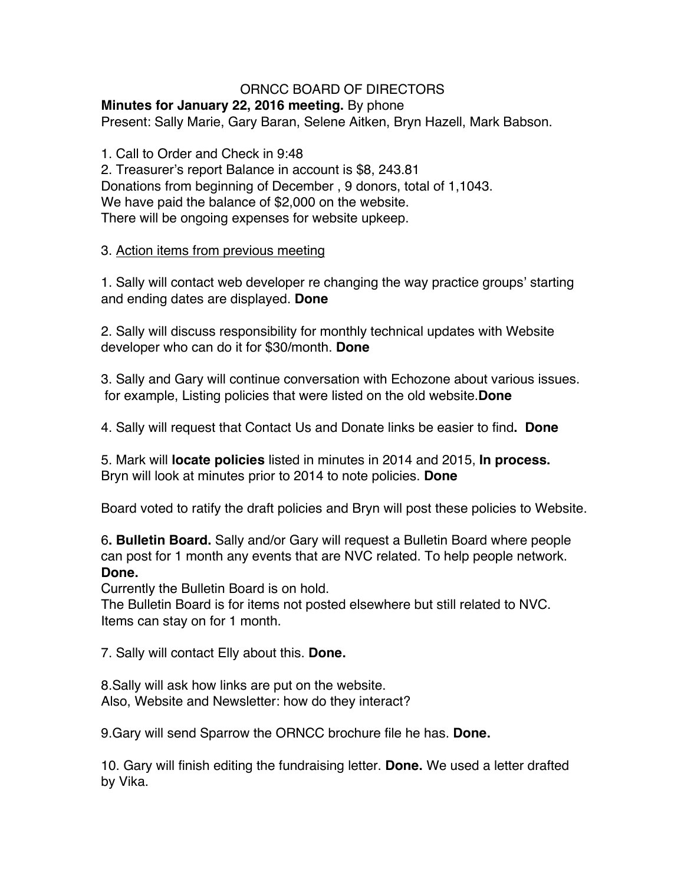## ORNCC BOARD OF DIRECTORS

#### **Minutes for January 22, 2016 meeting.** By phone Present: Sally Marie, Gary Baran, Selene Aitken, Bryn Hazell, Mark Babson.

1. Call to Order and Check in 9:48 2. Treasurer's report Balance in account is \$8, 243.81 Donations from beginning of December , 9 donors, total of 1,1043. We have paid the balance of \$2,000 on the website. There will be ongoing expenses for website upkeep.

#### 3. Action items from previous meeting

1. Sally will contact web developer re changing the way practice groups' starting and ending dates are displayed. **Done**

2. Sally will discuss responsibility for monthly technical updates with Website developer who can do it for \$30/month. **Done**

3. Sally and Gary will continue conversation with Echozone about various issues. for example, Listing policies that were listed on the old website.**Done**

4. Sally will request that Contact Us and Donate links be easier to find**. Done**

5. Mark will **locate policies** listed in minutes in 2014 and 2015, **In process.** Bryn will look at minutes prior to 2014 to note policies. **Done**

Board voted to ratify the draft policies and Bryn will post these policies to Website.

6**. Bulletin Board.** Sally and/or Gary will request a Bulletin Board where people can post for 1 month any events that are NVC related. To help people network. **Done.**

Currently the Bulletin Board is on hold.

The Bulletin Board is for items not posted elsewhere but still related to NVC. Items can stay on for 1 month.

7. Sally will contact Elly about this. **Done.**

8.Sally will ask how links are put on the website. Also, Website and Newsletter: how do they interact?

9.Gary will send Sparrow the ORNCC brochure file he has. **Done.**

10. Gary will finish editing the fundraising letter. **Done.** We used a letter drafted by Vika.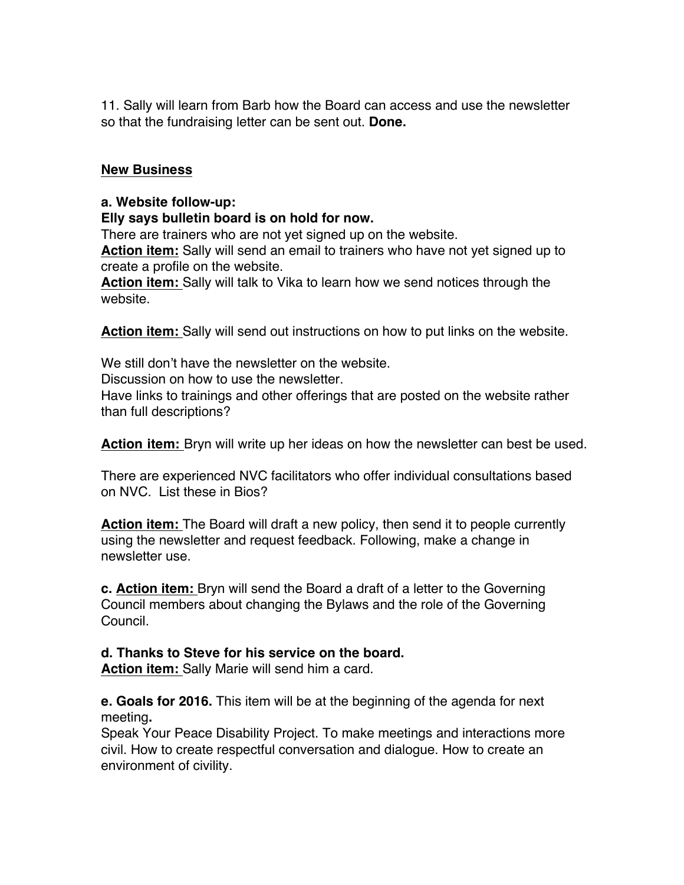11. Sally will learn from Barb how the Board can access and use the newsletter so that the fundraising letter can be sent out. **Done.**

### **New Business**

### **a. Website follow-up:**

**Elly says bulletin board is on hold for now.**

There are trainers who are not yet signed up on the website. **Action item:** Sally will send an email to trainers who have not yet signed up to create a profile on the website.

**Action item:** Sally will talk to Vika to learn how we send notices through the website.

**Action item:** Sally will send out instructions on how to put links on the website.

We still don't have the newsletter on the website. Discussion on how to use the newsletter. Have links to trainings and other offerings that are posted on the website rather than full descriptions?

**Action item:** Bryn will write up her ideas on how the newsletter can best be used.

There are experienced NVC facilitators who offer individual consultations based on NVC. List these in Bios?

**Action item:** The Board will draft a new policy, then send it to people currently using the newsletter and request feedback. Following, make a change in newsletter use.

**c. Action item:** Bryn will send the Board a draft of a letter to the Governing Council members about changing the Bylaws and the role of the Governing Council.

# **d. Thanks to Steve for his service on the board.**

**Action item:** Sally Marie will send him a card.

**e. Goals for 2016.** This item will be at the beginning of the agenda for next meeting**.**

Speak Your Peace Disability Project. To make meetings and interactions more civil. How to create respectful conversation and dialogue. How to create an environment of civility.